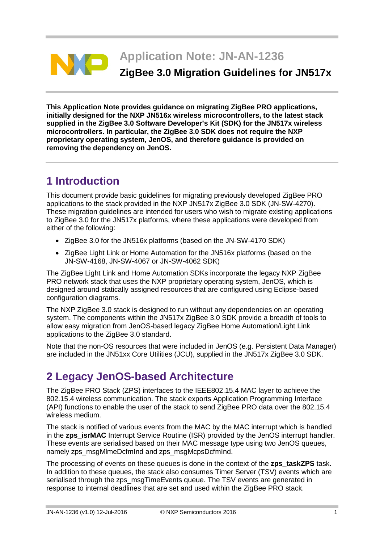

**This Application Note provides guidance on migrating ZigBee PRO applications, initially designed for the NXP JN516x wireless microcontrollers, to the latest stack supplied in the ZigBee 3.0 Software Developer's Kit (SDK) for the JN517x wireless microcontrollers. In particular, the ZigBee 3.0 SDK does not require the NXP proprietary operating system, JenOS, and therefore guidance is provided on removing the dependency on JenOS.**

# **1 Introduction**

This document provide basic guidelines for migrating previously developed ZigBee PRO applications to the stack provided in the NXP JN517x ZigBee 3.0 SDK (JN-SW-4270). These migration guidelines are intended for users who wish to migrate existing applications to ZigBee 3.0 for the JN517x platforms, where these applications were developed from either of the following:

- ZigBee 3.0 for the JN516x platforms (based on the JN-SW-4170 SDK)
- ZigBee Light Link or Home Automation for the JN516x platforms (based on the JN-SW-4168, JN-SW-4067 or JN-SW-4062 SDK)

The ZigBee Light Link and Home Automation SDKs incorporate the legacy NXP ZigBee PRO network stack that uses the NXP proprietary operating system, JenOS, which is designed around statically assigned resources that are configured using Eclipse-based configuration diagrams.

The NXP ZigBee 3.0 stack is designed to run without any dependencies on an operating system. The components within the JN517x ZigBee 3.0 SDK provide a breadth of tools to allow easy migration from JenOS-based legacy ZigBee Home Automation/Light Link applications to the ZigBee 3.0 standard.

Note that the non-OS resources that were included in JenOS (e.g. Persistent Data Manager) are included in the JN51xx Core Utilities (JCU), supplied in the JN517x ZigBee 3.0 SDK.

# **2 Legacy JenOS-based Architecture**

The ZigBee PRO Stack (ZPS) interfaces to the IEEE802.15.4 MAC layer to achieve the 802.15.4 wireless communication. The stack exports Application Programming Interface (API) functions to enable the user of the stack to send ZigBee PRO data over the 802.15.4 wireless medium.

The stack is notified of various events from the MAC by the MAC interrupt which is handled in the **zps\_isrMAC** Interrupt Service Routine (ISR) provided by the JenOS interrupt handler. These events are serialised based on their MAC message type using two JenOS queues, namely zps\_msgMlmeDcfmInd and zps\_msgMcpsDcfmInd.

The processing of events on these queues is done in the context of the **zps\_taskZPS** task. In addition to these queues, the stack also consumes Timer Server (TSV) events which are serialised through the zps\_msgTimeEvents queue. The TSV events are generated in response to internal deadlines that are set and used within the ZigBee PRO stack.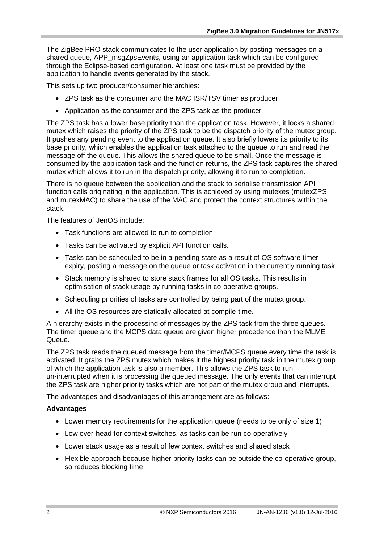The ZigBee PRO stack communicates to the user application by posting messages on a shared queue, APP\_msgZpsEvents, using an application task which can be configured through the Eclipse-based configuration. At least one task must be provided by the application to handle events generated by the stack.

This sets up two producer/consumer hierarchies:

- ZPS task as the consumer and the MAC ISR/TSV timer as producer
- Application as the consumer and the ZPS task as the producer

The ZPS task has a lower base priority than the application task. However, it locks a shared mutex which raises the priority of the ZPS task to be the dispatch priority of the mutex group. It pushes any pending event to the application queue. It also briefly lowers its priority to its base priority, which enables the application task attached to the queue to run and read the message off the queue. This allows the shared queue to be small. Once the message is consumed by the application task and the function returns, the ZPS task captures the shared mutex which allows it to run in the dispatch priority, allowing it to run to completion.

There is no queue between the application and the stack to serialise transmission API function calls originating in the application. This is achieved by using mutexes (mutexZPS and mutexMAC) to share the use of the MAC and protect the context structures within the stack.

The features of JenOS include:

- Task functions are allowed to run to completion.
- Tasks can be activated by explicit API function calls.
- Tasks can be scheduled to be in a pending state as a result of OS software timer expiry, posting a message on the queue or task activation in the currently running task.
- Stack memory is shared to store stack frames for all OS tasks. This results in optimisation of stack usage by running tasks in co-operative groups.
- Scheduling priorities of tasks are controlled by being part of the mutex group.
- All the OS resources are statically allocated at compile-time.

A hierarchy exists in the processing of messages by the ZPS task from the three queues. The timer queue and the MCPS data queue are given higher precedence than the MLME Queue.

The ZPS task reads the queued message from the timer/MCPS queue every time the task is activated. It grabs the ZPS mutex which makes it the highest priority task in the mutex group of which the application task is also a member. This allows the ZPS task to run un-interrupted when it is processing the queued message. The only events that can interrupt the ZPS task are higher priority tasks which are not part of the mutex group and interrupts.

The advantages and disadvantages of this arrangement are as follows:

#### **Advantages**

- Lower memory requirements for the application queue (needs to be only of size 1)
- Low over-head for context switches, as tasks can be run co-operatively
- Lower stack usage as a result of few context switches and shared stack
- Flexible approach because higher priority tasks can be outside the co-operative group, so reduces blocking time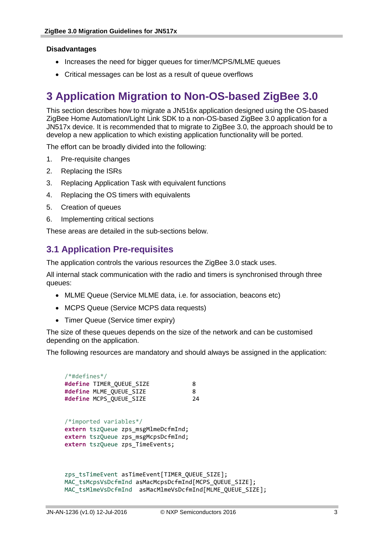#### **Disadvantages**

- Increases the need for bigger queues for timer/MCPS/MLME queues
- Critical messages can be lost as a result of queue overflows

# **3 Application Migration to Non-OS-based ZigBee 3.0**

This section describes how to migrate a JN516x application designed using the OS-based ZigBee Home Automation/Light Link SDK to a non-OS-based ZigBee 3.0 application for a JN517x device. It is recommended that to migrate to ZigBee 3.0, the approach should be to develop a new application to which existing application functionality will be ported.

The effort can be broadly divided into the following:

- 1. Pre-requisite changes
- 2. Replacing the ISRs
- 3. Replacing Application Task with equivalent functions
- 4. Replacing the OS timers with equivalents
- 5. Creation of queues
- 6. Implementing critical sections

These areas are detailed in the sub-sections below.

### **3.1 Application Pre-requisites**

The application controls the various resources the ZigBee 3.0 stack uses.

All internal stack communication with the radio and timers is synchronised through three queues:

- MLME Queue (Service MLME data, i.e. for association, beacons etc)
- MCPS Queue (Service MCPS data requests)
- Timer Queue (Service timer expiry)

The size of these queues depends on the size of the network and can be customised depending on the application.

The following resources are mandatory and should always be assigned in the application:

| $/*$ #defines $*/$                                       |    |
|----------------------------------------------------------|----|
| #define TIMER_QUEUE_SIZE                                 | 8  |
| #define MLME QUEUE SIZE                                  | 8  |
| #define MCPS_QUEUE SIZE                                  | 24 |
|                                                          |    |
| /*imported variables*/                                   |    |
| extern tszQueue zps msgMlmeDcfmInd;                      |    |
| extern tszQueue zps_msgMcpsDcfmInd;                      |    |
| extern tszQueue zps TimeEvents;                          |    |
|                                                          |    |
|                                                          |    |
|                                                          |    |
| zps tsTimeEvent asTimeEvent[TIMER QUEUE SIZE];           |    |
| MAC tsMcpsVsDcfmInd asMacMcpsDcfmInd[MCPS_QUEUE_SIZE];   |    |
| MAC_tsMlmeVsDcfmInd asMacMlmeVsDcfmInd[MLME_QUEUE_SIZE]; |    |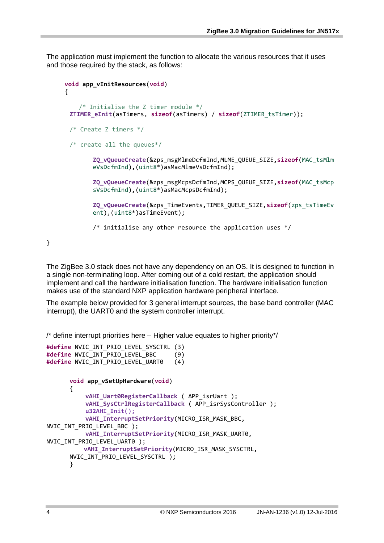The application must implement the function to allocate the various resources that it uses and those required by the stack, as follows:

```
void app_vInitResources(void)
{
     /* Initialise the Z timer module */
  ZTIMER_eInit(asTimers, sizeof(asTimers) / sizeof(ZTIMER_tsTimer));
  /* Create Z timers */
 /* create all the queues*/
        ZQ_vQueueCreate(&zps_msgMlmeDcfmInd,MLME_QUEUE_SIZE,sizeof(MAC_tsMlm
        eVsDcfmInd),(uint8*)asMacMlmeVsDcfmInd);
        ZQ_vQueueCreate(&zps_msgMcpsDcfmInd,MCPS_QUEUE_SIZE,sizeof(MAC_tsMcp
        sVsDcfmInd),(uint8*)asMacMcpsDcfmInd);
        ZQ_vQueueCreate(&zps_TimeEvents,TIMER_QUEUE_SIZE,sizeof(zps_tsTimeEv
        ent),(uint8*)asTimeEvent);
        /* initialise any other resource the application uses */
```
The ZigBee 3.0 stack does not have any dependency on an OS. It is designed to function in a single non-terminating loop. After coming out of a cold restart, the application should implement and call the hardware initialisation function. The hardware initialisation function makes use of the standard NXP application hardware peripheral interface.

The example below provided for 3 general interrupt sources, the base band controller (MAC interrupt), the UART0 and the system controller interrupt.

/\* define interrupt priorities here – Higher value equates to higher priority\*/

```
#define NVIC_INT_PRIO_LEVEL_SYSCTRL (3)
#define NVIC_INT_PRIO_LEVEL_BBC (9)
#define NVIC_INT_PRIO_LEVEL_UART0 (4)
      void app_vSetUpHardware(void)
      {
            vAHI_Uart0RegisterCallback ( APP_isrUart );
            vAHI_SysCtrlRegisterCallback ( APP_isrSysController );
            u32AHI_Init();
            vAHI_InterruptSetPriority(MICRO_ISR_MASK_BBC, 
NVIC_INT_PRIO_LEVEL_BBC );
            vAHI_InterruptSetPriority(MICRO_ISR_MASK_UART0, 
NVIC INT PRIO LEVEL UART0 );
           vAHI_InterruptSetPriority(MICRO_ISR_MASK_SYSCTRL, 
      NVIC_INT_PRIO_LEVEL_SYSCTRL );
      }
```
}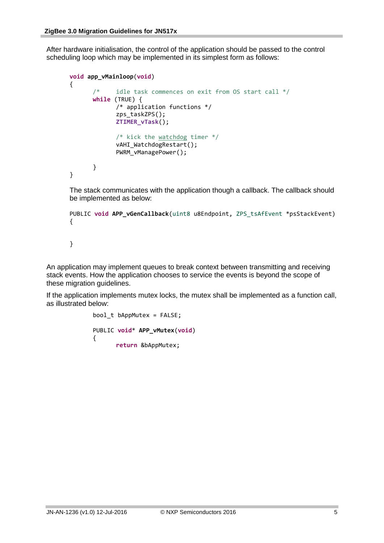After hardware initialisation, the control of the application should be passed to the control scheduling loop which may be implemented in its simplest form as follows:

```
void app_vMainloop(void)
      {
            /* idle task commences on exit from OS start call */ while (TRUE) {
                   /* application functions */
                    zps_taskZPS();
                    ZTIMER_vTask();
                    /* kick the watchdog timer */
                   vAHI WatchdogRestart();
                    PWRM_vManagePower();
 }
      }
```
The stack communicates with the application though a callback. The callback should be implemented as below:

```
PUBLIC void APP_vGenCallback(uint8 u8Endpoint, ZPS_tsAfEvent *psStackEvent)
{
```
}

An application may implement queues to break context between transmitting and receiving stack events. How the application chooses to service the events is beyond the scope of these migration guidelines.

If the application implements mutex locks, the mutex shall be implemented as a function call, as illustrated below:

```
bool t bAppMutex = FALSE;
PUBLIC void* APP_vMutex(void)
{
       return &bAppMutex;
```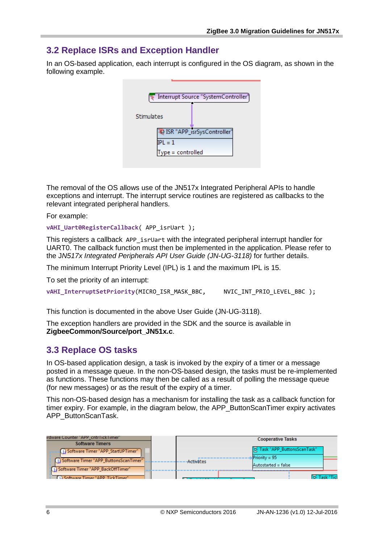## **3.2 Replace ISRs and Exception Handler**

In an OS-based application, each interrupt is configured in the OS diagram, as shown in the following example.

|                   | Interrupt Source "SystemController" |
|-------------------|-------------------------------------|
| Stimulates        |                                     |
| $\text{IPL} = 1$  | 42 ISR "APP_isrSysController"       |
| Type = controlled |                                     |

The removal of the OS allows use of the JN517x Integrated Peripheral APIs to handle exceptions and interrupt. The interrupt service routines are registered as callbacks to the relevant integrated peripheral handlers.

For example:

**vAHI\_Uart0RegisterCallback**( APP\_isrUart );

This registers a callback APP isrUart with the integrated peripheral interrupt handler for UART0. The callback function must then be implemented in the application. Please refer to the J*N517x Integrated Peripherals API User Guide (JN-UG-3118)* for further details.

The minimum Interrupt Priority Level (IPL) is 1 and the maximum IPL is 15.

To set the priority of an interrupt:

vAHI\_InterruptSetPriority(MICRO\_ISR\_MASK\_BBC, WVIC\_INT\_PRIO\_LEVEL\_BBC );

This function is documented in the above User Guide (JN-UG-3118).

The exception handlers are provided in the SDK and the source is available in **ZigbeeCommon/Source/port\_JN51x.c**.

### **3.3 Replace OS tasks**

In OS-based application design, a task is invoked by the expiry of a timer or a message posted in a message queue. In the non-OS-based design, the tasks must be re-implemented as functions. These functions may then be called as a result of polling the message queue (for new messages) or as the result of the expiry of a timer.

This non-OS-based design has a mechanism for installing the task as a callback function for timer expiry. For example, in the diagram below, the APP\_ButtonScanTimer expiry activates APP\_ButtonScanTask.

| irdware Counter "APP" cntr1ick1imer"       |           | <b>Cooperative Tasks</b>     |                     |
|--------------------------------------------|-----------|------------------------------|---------------------|
| <b>Software Timers</b>                     |           |                              |                     |
| Software Timer "APP_StartUPTimer"          |           | 몽 Task "APP_ButtonsScanTask" |                     |
|                                            |           | $Priority = 95$              |                     |
| [4] Software Timer "APP_ButtonsScanTimer"] | Activates | Autostarted = false          |                     |
| Software Timer "APP_BackOffTimer"          |           |                              |                     |
| CD Software Timer "APP TickTimer"          |           |                              | <b>S</b> Tack "Ticl |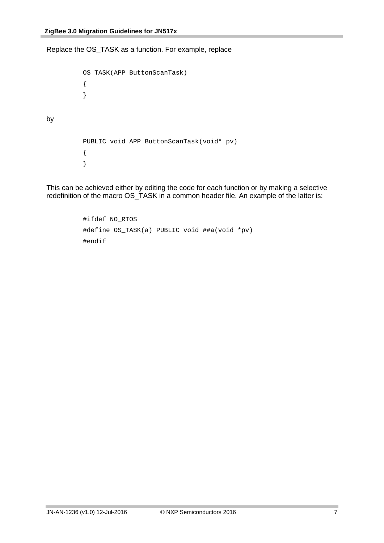by

Replace the OS\_TASK as a function. For example, replace

```
OS_TASK(APP_ButtonScanTask)
{
}
PUBLIC void APP_ButtonScanTask(void* pv)
{
}
```
This can be achieved either by editing the code for each function or by making a selective redefinition of the macro OS\_TASK in a common header file. An example of the latter is:

```
#ifdef NO_RTOS
#define OS_TASK(a) PUBLIC void ##a(void *pv)
#endif
```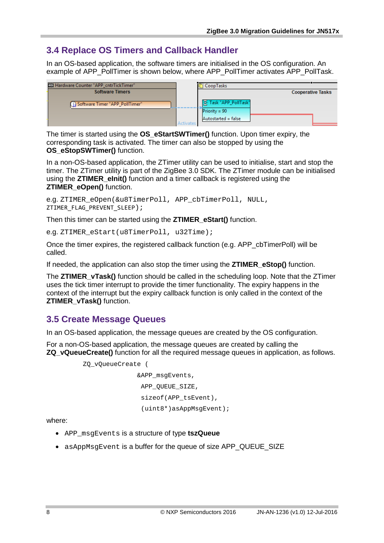## **3.4 Replace OS Timers and Callback Handler**

In an OS-based application, the software timers are initialised in the OS configuration. An example of APP\_PollTimer is shown below, where APP\_PollTimer activates APP\_PollTask.

| [12] Hardware Counter "APP_cntrTickTimer" |           | CoopTasks                                                       |                          |
|-------------------------------------------|-----------|-----------------------------------------------------------------|--------------------------|
| <b>Software Timers</b>                    |           |                                                                 | <b>Cooperative Tasks</b> |
| Software Timer "APP_PollTimer"            | Activates | 물 Task "APP_PollTask"<br>$Priority = 90$<br>Autostarted = false |                          |

The timer is started using the **OS\_eStartSWTimer()** function. Upon timer expiry, the corresponding task is activated. The timer can also be stopped by using the **OS\_eStopSWTimer()** function.

In a non-OS-based application, the ZTimer utility can be used to initialise, start and stop the timer. The ZTimer utility is part of the ZigBee 3.0 SDK. The ZTimer module can be initialised using the **ZTIMER\_eInit()** function and a timer callback is registered using the **ZTIMER\_eOpen()** function.

```
e.g. ZTIMER_eOpen(&u8TimerPoll, APP_cbTimerPoll, NULL, 
ZTIMER_FLAG_PREVENT_SLEEP);
```
Then this timer can be started using the **ZTIMER\_eStart()** function.

e.g. ZTIMER eStart(u8TimerPoll, u32Time);

Once the timer expires, the registered callback function (e.g. APP\_cbTimerPoll) will be called.

If needed, the application can also stop the timer using the **ZTIMER\_eStop()** function.

The **ZTIMER\_vTask()** function should be called in the scheduling loop. Note that the ZTimer uses the tick timer interrupt to provide the timer functionality. The expiry happens in the context of the interrupt but the expiry callback function is only called in the context of the **ZTIMER\_vTask()** function.

### **3.5 Create Message Queues**

In an OS-based application, the message queues are created by the OS configuration.

For a non-OS-based application, the message queues are created by calling the **ZQ\_vQueueCreate()** function for all the required message queues in application, as follows.

```
ZQ_vQueueCreate (
                &APP_msgEvents,
                APP_OUEUE_SIZE,
                 sizeof(APP_tsEvent), 
                 (uint8*)asAppMsgEvent);
```
where:

- APP\_msgEvents is a structure of type **tszQueue**
- asAppMsgEvent is a buffer for the queue of size APP\_QUEUE\_SIZE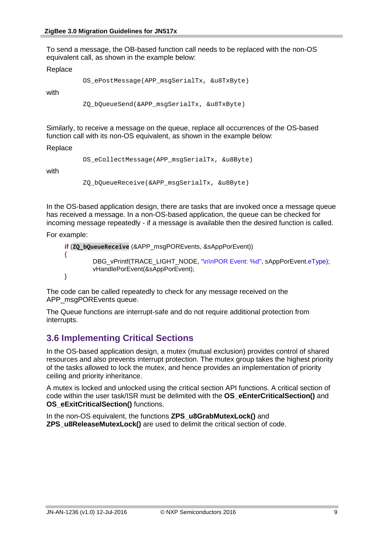To send a message, the OB-based function call needs to be replaced with the non-OS equivalent call, as shown in the example below:

#### Replace

```
OS_ePostMessage(APP_msgSerialTx, &u8TxByte)
```
with

ZQ\_bQueueSend(&APP\_msgSerialTx, &u8TxByte)

Similarly, to receive a message on the queue, replace all occurrences of the OS-based function call with its non-OS equivalent, as shown in the example below:

#### Replace

```
OS_eCollectMessage(APP_msgSerialTx, &u8Byte)
```
with

ZQ\_bQueueReceive(&APP\_msgSerialTx, &u8Byte)

In the OS-based application design, there are tasks that are invoked once a message queue has received a message. In a non-OS-based application, the queue can be checked for incoming message repeatedly - if a message is available then the desired function is called.

For example:

```
if (ZQ_bQueueReceive (&APP_msgPOREvents, &sAppPorEvent))
{
        DBG_vPrintf(TRACE_LIGHT_NODE, "\n\nPOR Event: %d", sAppPorEvent.eType);
        vHandlePorEvent(&sAppPorEvent);
}
```
The code can be called repeatedly to check for any message received on the APP\_msgPOREvents queue.

The Queue functions are interrupt-safe and do not require additional protection from interrupts.

### **3.6 Implementing Critical Sections**

In the OS-based application design, a mutex (mutual exclusion) provides control of shared resources and also prevents interrupt protection. The mutex group takes the highest priority of the tasks allowed to lock the mutex, and hence provides an implementation of priority ceiling and priority inheritance.

A mutex is locked and unlocked using the critical section API functions. A critical section of code within the user task/ISR must be delimited with the **OS\_eEnterCriticalSection()** and **OS\_eExitCriticalSection()** functions.

In the non-OS equivalent, the functions **ZPS\_u8GrabMutexLock()** and **ZPS\_u8ReleaseMutexLock()** are used to delimit the critical section of code.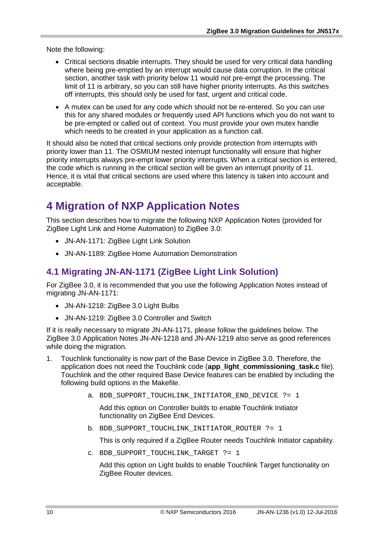Note the following:

- Critical sections disable interrupts. They should be used for very critical data handling where being pre-emptied by an interrupt would cause data corruption. In the critical section, another task with priority below 11 would not pre-empt the processing. The limit of 11 is arbitrary, so you can still have higher priority interrupts. As this switches off interrupts, this should only be used for fast, urgent and critical code.
- A mutex can be used for any code which should not be re-entered. So you can use this for any shared modules or frequently used API functions which you do not want to be pre-empted or called out of context. You must provide your own mutex handle which needs to be created in your application as a function call.

It should also be noted that critical sections only provide protection from interrupts with priority lower than 11. The OSMIUM nested interrupt functionality will ensure that higher priority interrupts always pre-empt lower priority interrupts. When a critical section is entered, the code which is running in the critical section will be given an interrupt priority of 11. Hence, it is vital that critical sections are used where this latency is taken into account and acceptable.

# **4 Migration of NXP Application Notes**

This section describes how to migrate the following NXP Application Notes (provided for ZigBee Light Link and Home Automation) to ZigBee 3.0:

- JN-AN-1171: ZigBee Light Link Solution
- JN-AN-1189: ZigBee Home Automation Demonstration

## **4.1 Migrating JN-AN-1171 (ZigBee Light Link Solution)**

For ZigBee 3.0, it is recommended that you use the following Application Notes instead of migrating JN-AN-1171:

- JN-AN-1218: ZigBee 3.0 Light Bulbs
- JN-AN-1219: ZigBee 3.0 Controller and Switch

If it is really necessary to migrate JN-AN-1171, please follow the guidelines below. The ZigBee 3.0 Application Notes JN-AN-1218 and JN-AN-1219 also serve as good references while doing the migration.

- 1. Touchlink functionality is now part of the Base Device in ZigBee 3.0. Therefore, the application does not need the Touchlink code (**app\_light\_commissioning\_task.c** file). Touchlink and the other required Base Device features can be enabled by including the following build options in the Makefile.
	- a. BDB\_SUPPORT\_TOUCHLINK\_INITIATOR\_END\_DEVICE ?= 1

Add this option on Controller builds to enable Touchlink Initiator functionality on ZigBee End Devices.

b. BDB SUPPORT TOUCHLINK INITIATOR ROUTER ?= 1

This is only required if a ZigBee Router needs Touchlink Initiator capability.

c. BDB SUPPORT TOUCHLINK TARGET ?= 1

Add this option on Light builds to enable Touchlink Target functionality on ZigBee Router devices.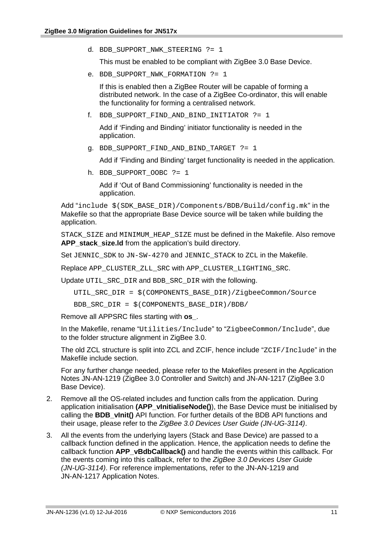d. BDB\_SUPPORT\_NWK\_STEERING ?= 1

This must be enabled to be compliant with ZigBee 3.0 Base Device.

e. BDB\_SUPPORT\_NWK\_FORMATION ?= 1

If this is enabled then a ZigBee Router will be capable of forming a distributed network. In the case of a ZigBee Co-ordinator, this will enable the functionality for forming a centralised network.

f. BDB\_SUPPORT\_FIND\_AND\_BIND\_INITIATOR ?= 1

Add if 'Finding and Binding' initiator functionality is needed in the application.

g. BDB\_SUPPORT\_FIND\_AND\_BIND\_TARGET ?= 1

Add if 'Finding and Binding' target functionality is needed in the application.

h. BDB\_SUPPORT\_OOBC ?= 1

Add if 'Out of Band Commissioning' functionality is needed in the application.

Add "include \$(SDK\_BASE\_DIR)/Components/BDB/Build/config.mk" in the Makefile so that the appropriate Base Device source will be taken while building the application.

STACK\_SIZE and MINIMUM\_HEAP\_SIZE must be defined in the Makefile. Also remove **APP\_stack\_size.ld** from the application's build directory.

Set JENNIC SDK to JN-SW-4270 and JENNIC STACK to ZCL in the Makefile.

Replace APP\_CLUSTER\_ZLL\_SRC with APP\_CLUSTER\_LIGHTING\_SRC.

Update UTIL\_SRC\_DIR and BDB\_SRC\_DIR with the following.

UTIL\_SRC\_DIR = \$(COMPONENTS\_BASE\_DIR)/ZigbeeCommon/Source

BDB\_SRC\_DIR = \$(COMPONENTS\_BASE\_DIR)/BDB/

Remove all APPSRC files starting with **os\_**.

In the Makefile, rename "Utilities/Include" to "ZigbeeCommon/Include", due to the folder structure alignment in ZigBee 3.0.

The old ZCL structure is split into ZCL and ZCIF, hence include "ZCIF/Include" in the Makefile include section.

For any further change needed, please refer to the Makefiles present in the Application Notes JN-AN-1219 (ZigBee 3.0 Controller and Switch) and JN-AN-1217 (ZigBee 3.0 Base Device).

- 2. Remove all the OS-related includes and function calls from the application. During application initialisation (APP vInitialiseNode()), the Base Device must be initialised by calling the **BDB\_vInit()** API function. For further details of the BDB API functions and their usage, please refer to the *ZigBee 3.0 Devices User Guide (JN-UG-3114)*.
- 3. All the events from the underlying layers (Stack and Base Device) are passed to a callback function defined in the application. Hence, the application needs to define the callback function **APP\_vBdbCallback()** and handle the events within this callback. For the events coming into this callback, refer to the *ZigBee 3.0 Devices User Guide (JN-UG-3114)*. For reference implementations, refer to the JN-AN-1219 and JN-AN-1217 Application Notes.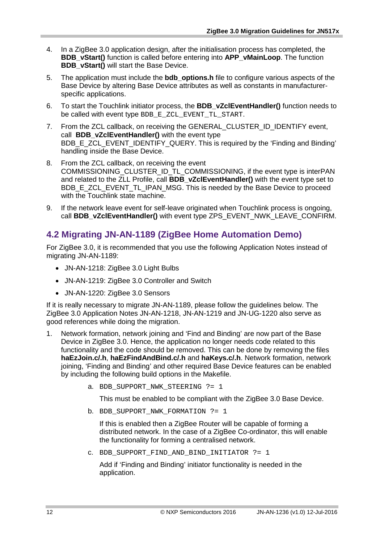- 4. In a ZigBee 3.0 application design, after the initialisation process has completed, the **BDB\_vStart()** function is called before entering into **APP\_vMainLoop**. The function **BDB\_vStart()** will start the Base Device.
- 5. The application must include the **bdb\_options.h** file to configure various aspects of the Base Device by altering Base Device attributes as well as constants in manufacturerspecific applications.
- 6. To start the Touchlink initiator process, the **BDB\_vZclEventHandler()** function needs to be called with event type BDB\_E\_ZCL\_EVENT\_TL\_START.
- 7. From the ZCL callback, on receiving the GENERAL\_CLUSTER\_ID\_IDENTIFY event, call **BDB\_vZclEventHandler()** with the event type BDB\_E\_ZCL\_EVENT\_IDENTIFY\_QUERY. This is required by the 'Finding and Binding' handling inside the Base Device.
- 8. From the ZCL callback, on receiving the event COMMISSIONING\_CLUSTER\_ID\_TL\_COMMISSIONING, if the event type is interPAN and related to the ZLL Profile, call **BDB\_vZclEventHandler()** with the event type set to BDB\_E\_ZCL\_EVENT\_TL\_IPAN\_MSG. This is needed by the Base Device to proceed with the Touchlink state machine.
- 9. If the network leave event for self-leave originated when Touchlink process is ongoing, call **BDB\_vZclEventHandler()** with event type ZPS\_EVENT\_NWK\_LEAVE\_CONFIRM.

## **4.2 Migrating JN-AN-1189 (ZigBee Home Automation Demo)**

For ZigBee 3.0, it is recommended that you use the following Application Notes instead of migrating JN-AN-1189:

- JN-AN-1218: ZigBee 3.0 Light Bulbs
- JN-AN-1219: ZigBee 3.0 Controller and Switch
- JN-AN-1220: ZigBee 3.0 Sensors

If it is really necessary to migrate JN-AN-1189, please follow the guidelines below. The ZigBee 3.0 Application Notes JN-AN-1218, JN-AN-1219 and JN-UG-1220 also serve as good references while doing the migration.

- 1. Network formation, network joining and 'Find and Binding' are now part of the Base Device in ZigBee 3.0. Hence, the application no longer needs code related to this functionality and the code should be removed. This can be done by removing the files **haEzJoin.c/.h**, **haEzFindAndBind.c/.h** and **haKeys.c/.h**. Network formation, network joining, 'Finding and Binding' and other required Base Device features can be enabled by including the following build options in the Makefile.
	- a. BDB\_SUPPORT\_NWK\_STEERING ?= 1

This must be enabled to be compliant with the ZigBee 3.0 Base Device.

b. BDB\_SUPPORT\_NWK\_FORMATION ?= 1

If this is enabled then a ZigBee Router will be capable of forming a distributed network. In the case of a ZigBee Co-ordinator, this will enable the functionality for forming a centralised network.

c. BDB\_SUPPORT\_FIND\_AND\_BIND\_INITIATOR ?= 1

Add if 'Finding and Binding' initiator functionality is needed in the application.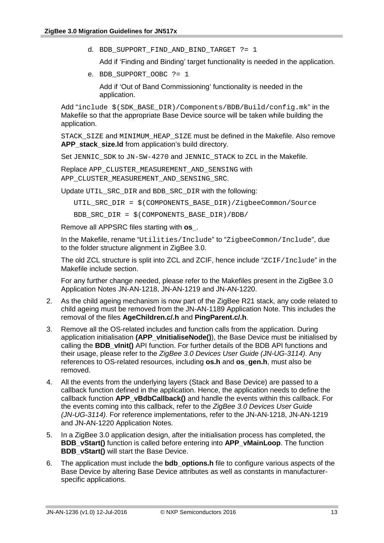d. BDB\_SUPPORT\_FIND\_AND\_BIND\_TARGET ?= 1

Add if 'Finding and Binding' target functionality is needed in the application.

e. BDB\_SUPPORT\_OOBC ?= 1

Add if 'Out of Band Commissioning' functionality is needed in the application.

Add "include \$(SDK\_BASE\_DIR)/Components/BDB/Build/config.mk" in the Makefile so that the appropriate Base Device source will be taken while building the application.

STACK\_SIZE and MINIMUM\_HEAP\_SIZE must be defined in the Makefile. Also remove APP stack size.Id from application's build directory.

Set JENNIC SDK to JN-SW-4270 and JENNIC STACK to ZCL in the Makefile.

Replace APP\_CLUSTER\_MEASUREMENT\_AND\_SENSING with APP\_CLUSTER\_MEASUREMENT\_AND\_SENSING\_SRC.

Update UTIL\_SRC\_DIR and BDB\_SRC\_DIR with the following:

UTIL\_SRC\_DIR = \$(COMPONENTS\_BASE\_DIR)/ZigbeeCommon/Source

BDB\_SRC\_DIR = \$(COMPONENTS\_BASE\_DIR)/BDB/

Remove all APPSRC files starting with **os\_**.

In the Makefile, rename "Utilities/Include" to "ZigbeeCommon/Include", due to the folder structure alignment in ZigBee 3.0.

The old ZCL structure is split into ZCL and ZCIF, hence include "ZCIF/Include" in the Makefile include section.

For any further change needed, please refer to the Makefiles present in the ZigBee 3.0 Application Notes JN-AN-1218, JN-AN-1219 and JN-AN-1220.

- 2. As the child ageing mechanism is now part of the ZigBee R21 stack, any code related to child ageing must be removed from the JN-AN-1189 Application Note. This includes the removal of the files **AgeChildren.c/.h** and **PingParent.c/.h**.
- 3. Remove all the OS-related includes and function calls from the application. During application initialisation **(APP\_vInitialiseNode()**), the Base Device must be initialised by calling the **BDB\_vInit()** API function. For further details of the BDB API functions and their usage, please refer to the *ZigBee 3.0 Devices User Guide (JN-UG-3114)*. Any references to OS-related resources, including **os.h** and **os\_gen.h**, must also be removed.
- 4. All the events from the underlying layers (Stack and Base Device) are passed to a callback function defined in the application. Hence, the application needs to define the callback function **APP\_vBdbCallback()** and handle the events within this callback. For the events coming into this callback, refer to the *ZigBee 3.0 Devices User Guide (JN-UG-3114)*. For reference implementations, refer to the JN-AN-1218, JN-AN-1219 and JN-AN-1220 Application Notes.
- 5. In a ZigBee 3.0 application design, after the initialisation process has completed, the **BDB\_vStart()** function is called before entering into **APP\_vMainLoop**. The function **BDB** vStart() will start the Base Device.
- 6. The application must include the **bdb\_options.h** file to configure various aspects of the Base Device by altering Base Device attributes as well as constants in manufacturerspecific applications.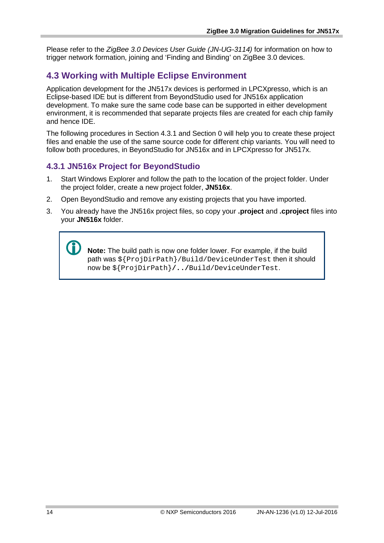Please refer to the *ZigBee 3.0 Devices User Guide (JN-UG-3114)* for information on how to trigger network formation, joining and 'Finding and Binding' on ZigBee 3.0 devices.

### **4.3 Working with Multiple Eclipse Environment**

Application development for the JN517x devices is performed in LPCXpresso, which is an Eclipse-based IDE but is different from BeyondStudio used for JN516x application development. To make sure the same code base can be supported in either development environment, it is recommended that separate projects files are created for each chip family and hence IDE.

The following procedures in Section [4.3.1](#page-13-0) and Section [0](#page-13-1) will help you to create these project files and enable the use of the same source code for different chip variants. You will need to follow both procedures, in BeyondStudio for JN516x and in LPCXpresso for JN517x.

### <span id="page-13-0"></span>**4.3.1 JN516x Project for BeyondStudio**

- 1. Start Windows Explorer and follow the path to the location of the project folder. Under the project folder, create a new project folder, **JN516x**.
- 2. Open BeyondStudio and remove any existing projects that you have imported.
- 3. You already have the JN516x project files, so copy your **.project** and **.cproject** files into your **JN516x** folder.

<span id="page-13-1"></span> **Note:** The build path is now one folder lower. For example, if the build path was  $\S$ {ProjDirPath}/Build/DeviceUnderTest then it should now be \${ProjDirPath}**/../**Build/DeviceUnderTest.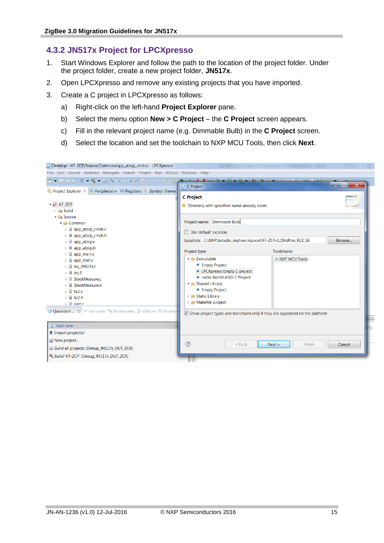### **4.3.2 JN517x Project for LPCXpresso**

- 1. Start Windows Explorer and follow the path to the location of the project folder. Under the project folder, create a new project folder, **JN517x**.
- 2. Open LPCXpresso and remove any existing projects that you have imported.
- 3. Create a C project in LPCXpresso as follows:
	- a) Right-click on the left-hand **Project Explorer** pane.
	- b) Select the menu option **New > C Project** the **C Project** screen appears.
	- c) Fill in the relevant project name (e.g. Dimmable Bulb) in the **C Project** screen.
	- d) Select the location and set the toolchain to NXP MCU Tools, then click **Next**.

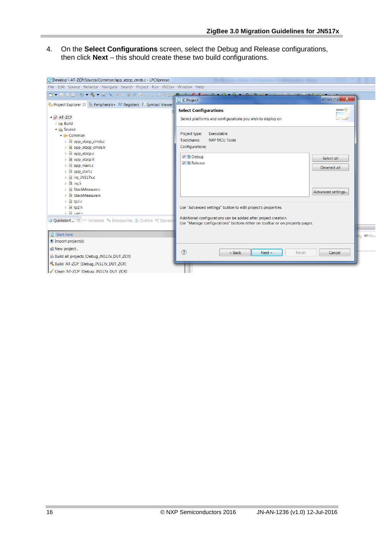4. On the **Select Configurations** screen, select the Debug and Release configurations, then click **Next** – this should create these two build configurations.

| Develop - AT-ZCP/Source/Common/app_atzcp_cmds.c - LPCXpresso                                                           |                                                                                                                                               |              |
|------------------------------------------------------------------------------------------------------------------------|-----------------------------------------------------------------------------------------------------------------------------------------------|--------------|
| File Edit Source Refactor Navigate Search Project Run JN51xx Window Help                                               |                                                                                                                                               |              |
|                                                                                                                        | o.<br>$\mathbf{x}$<br><b>X</b> C Project                                                                                                      |              |
|                                                                                                                        | $\rightarrow$<br><b>Select Configurations</b>                                                                                                 |              |
| $\triangleq$ $\mathbb{R}^5$ AT-ZCP<br><b>E</b> Build                                                                   | Select platforms and configurations you wish to deploy on                                                                                     |              |
| 4 <b>&amp;</b> Source<br>$\triangle$ $\triangle$ Common                                                                | Executable<br>Project type:                                                                                                                   |              |
| <b>E</b> app_atzcp_cmds.c<br><b>A</b> app_atzcp_cmds.h                                                                 | Toolchains:<br><b>NXP MCU Tools</b><br>Configurations:                                                                                        |              |
| ▷ .e app_atzcp.c                                                                                                       | <b>▽ <sup>®</sup></b> Debug<br>Select all                                                                                                     |              |
| <b>h</b> app_atzcp.h<br>$\triangleright$ <b>c</b> app_main.c                                                           | <b>▽ ® Release</b>                                                                                                                            |              |
| $\triangleright$ <b>le app_start.c</b>                                                                                 | Deselect all                                                                                                                                  |              |
| $\triangleright$ <b>c</b> irq JN517x.c                                                                                 |                                                                                                                                               |              |
| $\triangleright$ $\mathbf{S}$ irg. S<br><b>C</b> StackMeasure.c                                                        |                                                                                                                                               |              |
| <b>D In</b> StackMeasure.h                                                                                             | Advanced settings                                                                                                                             |              |
| $\triangleright$ $\blacksquare$ tp2.c                                                                                  |                                                                                                                                               |              |
| ▷ la tp2.h<br>$\triangleright$ $\blacksquare$ and $\blacksquare$                                                       | Use "Advanced settings" button to edit project's properties.                                                                                  |              |
| <b>U Quickstart</b> <sup>23</sup> <sup>(x)=</sup> Variables <sup>●</sup> • Breakpoints E Outline <sup>e</sup> Expressi | Additional configurations can be added after project creation.<br>Use "Manage configurations" buttons either on toolbar or on property pages. |              |
| Start here                                                                                                             |                                                                                                                                               | $\equiv$ Pov |
| <b><i>U</i></b> Import project(s)                                                                                      |                                                                                                                                               |              |
| ici New project                                                                                                        | $\circledR$<br>$<$ Back<br>Next ><br>Finish<br>Cancel                                                                                         |              |
| Build all projects [Debug_JN517x_DUT_ZCR]                                                                              |                                                                                                                                               |              |
| S Build 'AT-ZCP' [Debug_JN517x_DUT_ZCR]                                                                                |                                                                                                                                               |              |
| Clean 'AT-ZCP' [Debug JN517x DUT ZCR]                                                                                  |                                                                                                                                               |              |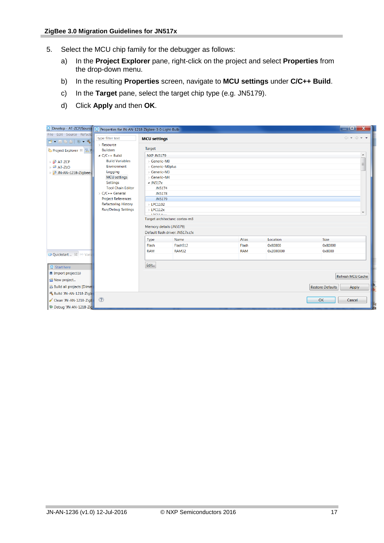- 5. Select the MCU chip family for the debugger as follows:
	- a) In the **Project Explorer** pane, right-click on the project and select **Properties** from the drop-down menu.
	- b) In the resulting **Properties** screen, navigate to **MCU settings** under **C/C++ Build**.
	- c) In the **Target** pane, select the target chip type (e.g. JN5179).
	- d) Click **Apply** and then **OK**.

| Develop - AT-ZCP/Source X Properties for JN-AN-1218-Zigbee-3-0-Light-Bulb |                                             |                                |                                  |            |           | o<br>$\mathbf{x}$                           |
|---------------------------------------------------------------------------|---------------------------------------------|--------------------------------|----------------------------------|------------|-----------|---------------------------------------------|
| File Edit Source Refacto<br>$1 - 1 - 1$                                   | type filter text                            | <b>MCU</b> settings            |                                  |            |           | $\langle \rangle = \rangle + \rightarrow +$ |
| La Project Explorer 8 % B P                                               | Resource<br><b>Builders</b>                 | Target                         |                                  |            |           |                                             |
|                                                                           | $\triangle$ C/C++ Build                     | <b>NXP JN5179</b>              |                                  |            |           | A                                           |
| $\triangleright$ $\stackrel{\sim}{\mathbf{B}}$ AT-ZCP                     | <b>Build Variables</b>                      | > Generic-M0                   |                                  |            |           | $\equiv$                                    |
| $\triangleright$ $25$ AT-ZLO                                              | Environment                                 | > Generic-M0plus               |                                  |            |           |                                             |
| <b>S</b> JN-AN-1218-Zigbee-3                                              | Logging                                     | > Generic-M3                   |                                  |            |           |                                             |
|                                                                           | <b>MCU</b> settings                         | > Generic-M4                   |                                  |            |           |                                             |
|                                                                           | <b>Settings</b>                             | $\triangle$ JN517x             |                                  |            |           |                                             |
|                                                                           | <b>Tool Chain Editor</b><br>> C/C++ General | <b>JN5174</b><br><b>JN5178</b> |                                  |            |           |                                             |
|                                                                           | <b>Project References</b>                   | JN5179                         |                                  |            |           |                                             |
|                                                                           | <b>Refactoring History</b>                  | $>$ LPC1102                    |                                  |            |           |                                             |
|                                                                           | <b>Run/Debug Settings</b>                   | $>$ LPC112 $x$                 |                                  |            |           |                                             |
|                                                                           |                                             | <b>IDOMA</b>                   |                                  |            |           | $\overline{\phantom{a}}$                    |
|                                                                           |                                             |                                | Target architecture: cortex-m3   |            |           |                                             |
|                                                                           |                                             |                                | Memory details (JN5179)          |            |           |                                             |
|                                                                           |                                             |                                | Default flash driver: JN517x.cfx |            |           |                                             |
|                                                                           |                                             | <b>Type</b>                    | Name                             | Alias      | Location  | <b>Size</b>                                 |
|                                                                           |                                             | Flash                          | Flash512                         | Flash      | 0x80000   | 0x80000                                     |
|                                                                           |                                             | <b>RAM</b>                     | <b>RAM32</b>                     | <b>RAM</b> | 0x2000000 | 0x8000                                      |
| <b>U</b> Quickstart <sup>23</sup> (x)= Varia                              |                                             |                                |                                  |            |           |                                             |
| $\mathbf{\Sigma}$ Start here                                              |                                             | Edit                           |                                  |            |           |                                             |
| <i>Import project(s)</i>                                                  |                                             |                                |                                  |            |           |                                             |
| New project                                                               |                                             |                                |                                  |            |           | <b>Refresh MCU Cache</b>                    |
| <b>Build all projects [Dimmill</b>                                        |                                             |                                |                                  |            |           | <b>Restore Defaults</b><br>Apply            |
| Build 'JN-AN-1218-Zigb                                                    |                                             |                                |                                  |            |           |                                             |
| Clean 'JN-AN-1218-Zigh                                                    | $\circled{?}$                               |                                |                                  |            |           | OK<br>Cancel                                |
| 梦 Debug 'JN-AN-1218-Zig                                                   |                                             |                                |                                  |            |           |                                             |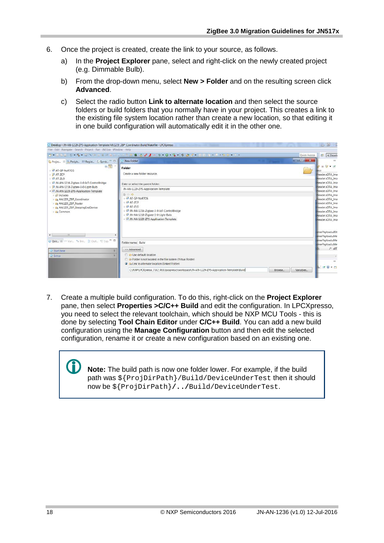- 6. Once the project is created, create the link to your source, as follows.
	- a) In the **Project Explorer** pane, select and right-click on the newly created project (e.g. Dimmable Bulb).
	- b) From the drop-down menu, select **New > Folder** and on the resulting screen click **Advanced**.
	- c) Select the radio button **Link to alternate location** and then select the source folders or build folders that you normally have in your project. This creates a link to the existing file system location rather than create a new location, so that editing it in one build configuration will automatically edit it in the other one.

| Develop - JN-AN-1229-ZPS-Application-Template/AN1229_ZBP_Coordinator/Build/Makefile - LPCXpresso                                        |                                                                                                                                                                                                                    | 一回 2                                                                                                                                                  |
|-----------------------------------------------------------------------------------------------------------------------------------------|--------------------------------------------------------------------------------------------------------------------------------------------------------------------------------------------------------------------|-------------------------------------------------------------------------------------------------------------------------------------------------------|
| File Edit Navigate Search Project Run JN51xx Window Help                                                                                |                                                                                                                                                                                                                    |                                                                                                                                                       |
|                                                                                                                                         | B-JAAL 0 - 4 - 3 A - 1 - 2 E - 0 - - 7 T C 3 A T + 0 - 0 - 4 - 0 B + - 0 A + 0 B + - 0 A + - 0 A + -<br>Quick Access                                                                                               | B   K Devel                                                                                                                                           |
| Projec. 33 & Periph IIII Regist & Symb = 0                                                                                              | $\Box$ x<br>New Folder                                                                                                                                                                                             |                                                                                                                                                       |
| 日军。<br>& AT-GP-NoRTOS<br>$\rightarrow$ $25$ AT-ZCP<br>ØAT-ZLO                                                                           | Folder<br>Create a new folder resource.                                                                                                                                                                            | $= 5t - rt$<br>Header.sOTA Ima<br>Header.sOTA_Ima                                                                                                     |
| 5 JN-AN-1216-Zigbee-3-0-IoT-ControlBridge                                                                                               | Enter or select the parent folder.                                                                                                                                                                                 | Header.sOTA_Ima                                                                                                                                       |
| JN-AN-1218-Zigbee-3-0-Light-Bulb<br>- S JN-AN-1229-ZPS-Application-Template                                                             | JN-AN-1229-ZPS-Application-Template                                                                                                                                                                                | Header.sOTA Ima<br>Header.sOTA_Ima                                                                                                                    |
| <b><i>D</i></b> Includes<br>La AN1229_ZBP_Coordinator<br>> De AN1229 ZBP Router<br>> © AN1229 ZBP SleepingEndDevice<br><b>Ex</b> Common | $A$ $\circ$<br><b>B</b> AT-GP-NoRTOS<br>$5.45$ AT-ZCP<br>$547-710$<br>IN-AN-1216-Zigbee-3-0-loT-ControlBridge<br>M-AN-1218-Zigbee-3-0-Light-Bulb<br>M-AN-1229-ZPS-Application-Template                             | Header.sOTA_Ima<br>Header.sOTA_Ima<br>Header.sOTA_Ima<br>Header.sOTA Ima<br>Header.sOTA Ima<br>Header.sOTA Ima<br>Header.sOTA Ima<br>onsePayload.u8St |
| $\leftarrow$<br>$+111$<br>O Quic 23 00 Vari % Bre E Outl % Exp. " E                                                                     | Folder name: Build                                                                                                                                                                                                 | onsePavload.uMe-<br>onsePayload.uMe<br>onsePayload.uMe                                                                                                |
| $\mathcal{E}$<br><b>Ed</b> Start here<br>Ħ.<br><b>Ed Extras</b>                                                                         | << Advanced<br><b>C</b> Use default location<br><sup>1</sup> <b>C</b> <sub>r</sub> Folder is not located in the file system (Virtual Folder)<br><b>O</b> C <sub>R</sub> Link to alternate location (Linked Folder) | $/$ $u8T$<br>$\rightarrow$<br><b>COL</b><br>$\neq 0 + n$                                                                                              |
|                                                                                                                                         | C:\NXP\LPCXpresso_7.9.2_493\Ipcxpresso\workspace\JN-AN-1229-ZPS-Application-Template\Build<br><b>Variables</b><br>Browse                                                                                           |                                                                                                                                                       |

7. Create a multiple build configuration. To do this, right-click on the **Project Explorer** pane, then select **Properties >C/C++ Build** and edit the configuration. In LPCXpresso, you need to select the relevant toolchain, which should be NXP MCU Tools - this is done by selecting **Tool Chain Editor** under **C/C++ Build**. You can add a new build configuration using the **Manage Configuration** button and then edit the selected configuration, rename it or create a new configuration based on an existing one.

> **Note:** The build path is now one folder lower. For example, if the build path was \${ProjDirPath}/Build/DeviceUnderTest then it should now be \${ProjDirPath}**/../**Build/DeviceUnderTest.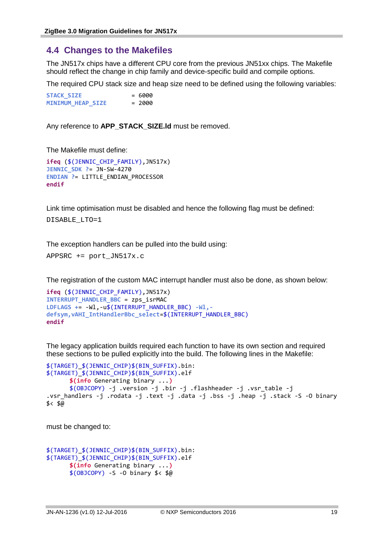### **4.4 Changes to the Makefiles**

The JN517x chips have a different CPU core from the previous JN51xx chips. The Makefile should reflect the change in chip family and device-specific build and compile options.

The required CPU stack size and heap size need to be defined using the following variables:

**STACK\_SIZE** = 6000 **MINIMUM HEAP SIZE = 2000** 

Any reference to **APP\_STACK\_SIZE.Id** must be removed.

The Makefile must define:

```
ifeq ($(JENNIC_CHIP_FAMILY),JN517x)
JENNIC_SDK ?= JN-SW-4270
ENDIAN ?= LITTLE_ENDIAN_PROCESSOR
endif
```
Link time optimisation must be disabled and hence the following flag must be defined:

DISABLE\_LTO=1

The exception handlers can be pulled into the build using:

```
APPSRC += port_JN517x.c
```
The registration of the custom MAC interrupt handler must also be done, as shown below:

```
ifeq ($(JENNIC_CHIP_FAMILY),JN517x)
INTERRUPT_HANDLER_BBC = zps_isrMAC
LDFLAGS += -Wl,-u$(INTERRUPT_HANDLER_BBC) -Wl,-
defsym,vAHI_IntHandlerBbc_select=$(INTERRUPT_HANDLER_BBC)
endif
```
The legacy application builds required each function to have its own section and required these sections to be pulled explicitly into the build. The following lines in the Makefile:

```
$(TARGET)_$(JENNIC_CHIP)$(BIN_SUFFIX).bin: 
$(TARGET)_$(JENNIC_CHIP)$(BIN_SUFFIX).elf 
      $(info Generating binary ...)
      $(OBJCOPY) -j .version -j .bir -j .flashheader -j .vsr_table -j 
.vsr handlers -j .rodata -j .text -j .data -j .bss -j .heap -j .stack -S -O binary
$< $@
```
must be changed to:

```
$(TARGET)_$(JENNIC_CHIP)$(BIN_SUFFIX).bin: 
$(TARGET)_$(JENNIC_CHIP)$(BIN_SUFFIX).elf 
      $(info Generating binary ...)
      $(OBJCOPY) -S -O binary $< $@
```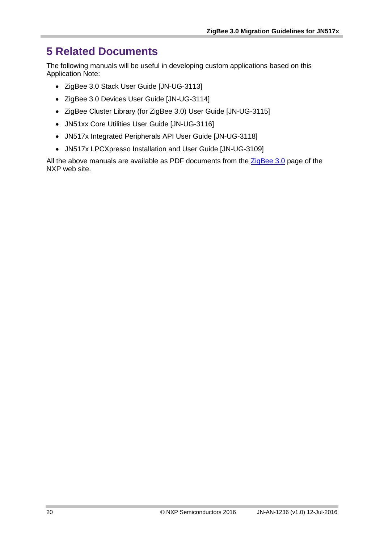# **5 Related Documents**

The following manuals will be useful in developing custom applications based on this Application Note:

- ZigBee 3.0 Stack User Guide [JN-UG-3113]
- ZigBee 3.0 Devices User Guide [JN-UG-3114]
- ZigBee Cluster Library (for ZigBee 3.0) User Guide [JN-UG-3115]
- JN51xx Core Utilities User Guide [JN-UG-3116]
- JN517x Integrated Peripherals API User Guide [JN-UG-3118]
- JN517x LPCXpresso Installation and User Guide [JN-UG-3109]

All the above manuals are available as PDF documents from the  $ZigBee$  3.0 page of the NXP web site.